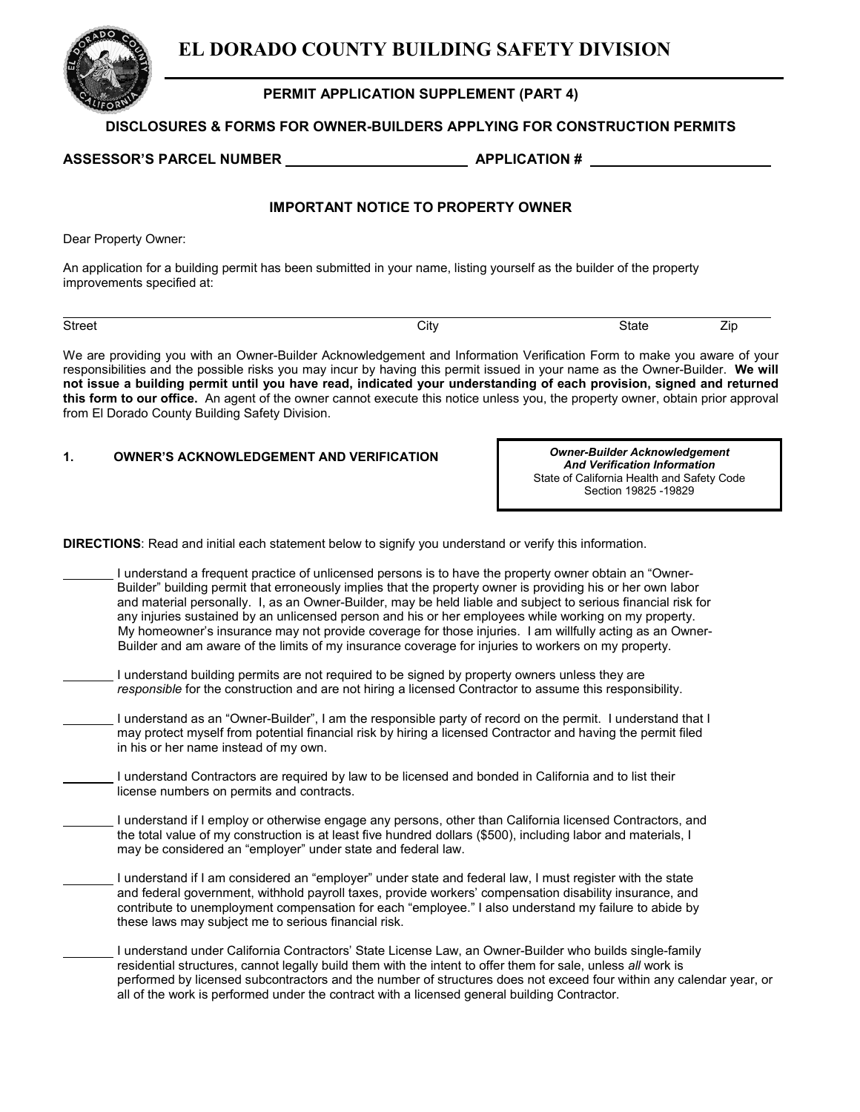



## **PERMIT APPLICATION SUPPLEMENT (PART 4)**

#### **DISCLOSURES & FORMS FOR OWNER-BUILDERS APPLYING FOR CONSTRUCTION PERMITS**

**ASSESSOR'S PARCEL NUMBER APPLICATION #** 

## **IMPORTANT NOTICE TO PROPERTY OWNER**

Dear Property Owner:

An application for a building permit has been submitted in your name, listing yourself as the builder of the property improvements specified at:

Street

Street City State Zip

We are providing you with an Owner-Builder Acknowledgement and Information Verification Form to make you aware of your responsibilities and the possible risks you may incur by having this permit issued in your name as the Owner-Builder. **We will not issue a building permit until you have read, indicated your understanding of each provision, signed and returned this form to our office.** An agent of the owner cannot execute this notice unless you, the property owner, obtain prior approval from El Dorado County Building Safety Division.

# **1. OWNER'S ACKNOWLEDGEMENT AND VERIFICATION**

*Owner-Builder Acknowledgement And Verification Information* State of California Health and Safety Code Section 19825 -19829

**DIRECTIONS**: Read and initial each statement below to signify you understand or verify this information.

- I understand a frequent practice of unlicensed persons is to have the property owner obtain an "Owner- Builder" building permit that erroneously implies that the property owner is providing his or her own labor and material personally. I, as an Owner-Builder, may be held liable and subject to serious financial risk for any injuries sustained by an unlicensed person and his or her employees while working on my property. My homeowner's insurance may not provide coverage for those injuries. I am willfully acting as an Owner-Builder and am aware of the limits of my insurance coverage for injuries to workers on my property.
- I understand building permits are not required to be signed by property owners unless they are *responsible* for the construction and are not hiring a licensed Contractor to assume this responsibility.
- I understand as an "Owner-Builder", I am the responsible party of record on the permit. I understand that I may protect myself from potential financial risk by hiring a licensed Contractor and having the permit filed in his or her name instead of my own.
- I understand Contractors are required by law to be licensed and bonded in California and to list their license numbers on permits and contracts.
- I understand if I employ or otherwise engage any persons, other than California licensed Contractors, and the total value of my construction is at least five hundred dollars (\$500), including labor and materials, I may be considered an "employer" under state and federal law.
- I understand if I am considered an "employer" under state and federal law, I must register with the state and federal government, withhold payroll taxes, provide workers' compensation disability insurance, and contribute to unemployment compensation for each "employee." I also understand my failure to abide by these laws may subject me to serious financial risk.
- I understand under California Contractors' State License Law, an Owner-Builder who builds single-family residential structures, cannot legally build them with the intent to offer them for sale, unless *all* work is performed by licensed subcontractors and the number of structures does not exceed four within any calendar year, or all of the work is performed under the contract with a licensed general building Contractor.